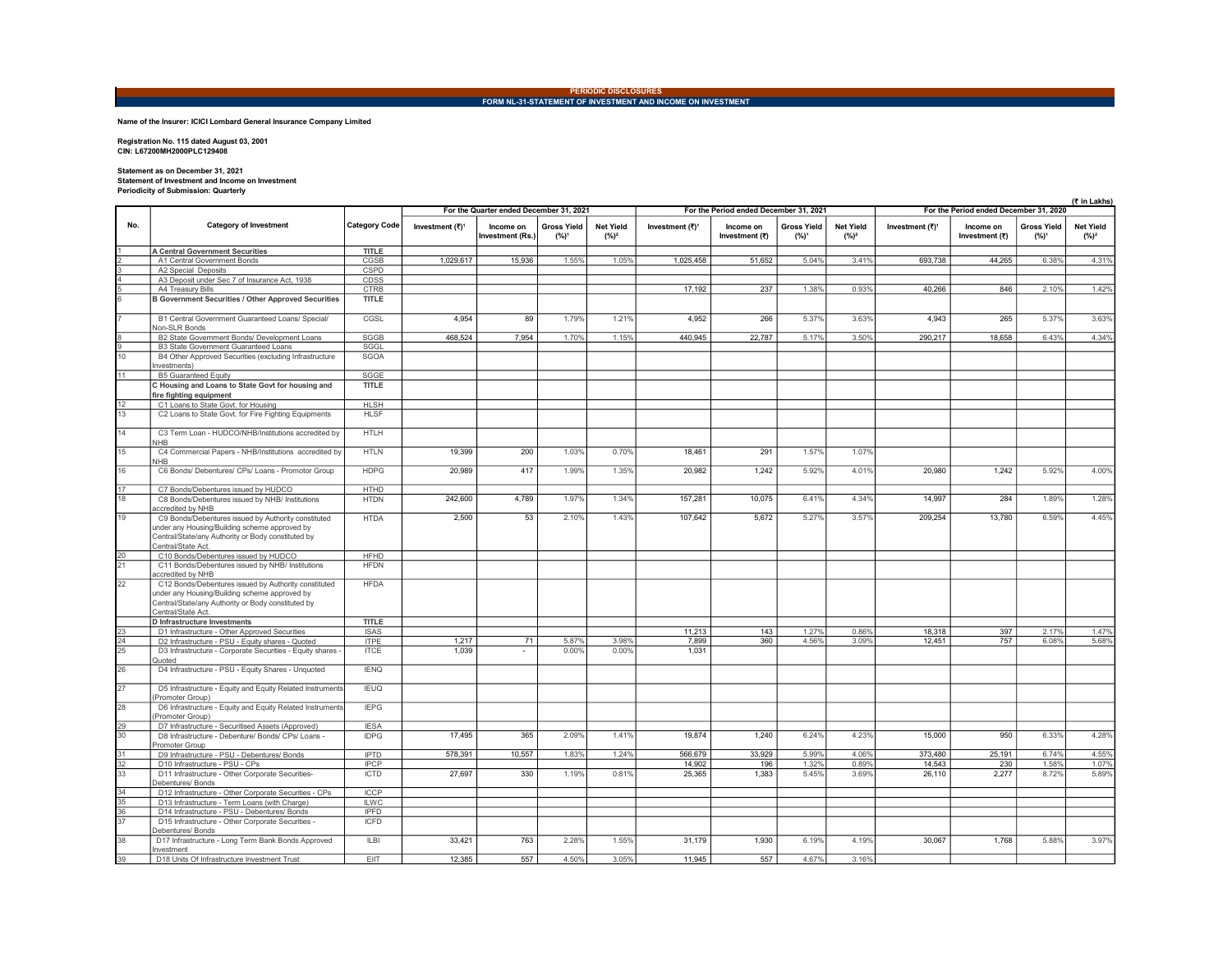## PERIODIC DISCLOSURES<br>FORM NL-31-STATEMENT OF INVESTMENT AND INCOME ON INVESTMENT

Name of the Insurer: ICICI Lombard General Insurance Company Limited

Registration No. 115 dated August 03, 2001 CIN: L67200MH2000PLC129408

## Statement as on December 31, 2021 Statement of Investment and Income on Investment Periodicity of Submission: Quarterly

|                                                               | Feriodicity of Submission. Quarterly                                                                                                                                             |                             |                                         |                               |                                        |                             |                 |                                        |                               |                             |                                        |                             |                               | (₹ in Lakhs)                |
|---------------------------------------------------------------|----------------------------------------------------------------------------------------------------------------------------------------------------------------------------------|-----------------------------|-----------------------------------------|-------------------------------|----------------------------------------|-----------------------------|-----------------|----------------------------------------|-------------------------------|-----------------------------|----------------------------------------|-----------------------------|-------------------------------|-----------------------------|
|                                                               |                                                                                                                                                                                  |                             | For the Quarter ended December 31, 2021 |                               |                                        |                             |                 | For the Period ended December 31, 2021 |                               |                             | For the Period ended December 31, 2020 |                             |                               |                             |
| No.                                                           | <b>Category of Investment</b>                                                                                                                                                    | <b>Category Code</b>        | Investment (₹) <sup>1</sup>             | Income on<br>Investment (Rs.) | <b>Gross Yield</b><br>(%) <sup>1</sup> | <b>Net Yield</b><br>$(%)^2$ | Investment (₹)* | Income on<br>Investment (₹)            | <b>Gross Yield</b><br>$(%)^1$ | <b>Net Yield</b><br>$(%)^2$ | Investment (₹) <sup>1</sup>            | Income on<br>Investment (₹) | <b>Gross Yield</b><br>$(%)^1$ | <b>Net Yield</b><br>$(%)^2$ |
|                                                               | <b>A Central Government Securities</b>                                                                                                                                           | <b>TITLE</b>                |                                         |                               |                                        |                             |                 |                                        |                               |                             |                                        |                             |                               |                             |
|                                                               | A1 Central Government Bonds                                                                                                                                                      | CGSB                        | 1,029,617                               | 15,936                        | 1.55%                                  | 1.05%                       | 1,025,458       | 51,652                                 | 5.04%                         | 3.41%                       | 693,738                                | 44,265                      | 6.38%                         | 4.31%                       |
|                                                               | A2 Special Deposits                                                                                                                                                              | CSPD                        |                                         |                               |                                        |                             |                 |                                        |                               |                             |                                        |                             |                               |                             |
|                                                               | A3 Deposit under Sec 7 of Insurance Act, 1938                                                                                                                                    | <b>CDSS</b>                 |                                         |                               |                                        |                             | 17,192          | 237                                    | 1.38%                         | 0.93%                       | 40,266                                 | 846                         | 2.10%                         | 1.42%                       |
|                                                               | A4 Treasury Bills<br><b>B Government Securities / Other Approved Securities</b>                                                                                                  | <b>CTRB</b><br><b>TITLE</b> |                                         |                               |                                        |                             |                 |                                        |                               |                             |                                        |                             |                               |                             |
|                                                               |                                                                                                                                                                                  |                             |                                         |                               |                                        |                             |                 |                                        |                               |                             |                                        |                             |                               |                             |
|                                                               | B1 Central Government Guaranteed Loans/ Special/<br>Non-SLR Bonds                                                                                                                | CGSL                        | 4,954                                   | 89                            | 1.79%                                  | 1.21%                       | 4,952           | 266                                    | 5.37%                         | 3.63%                       | 4,943                                  | 265                         | 5.37%                         | 3.63%                       |
|                                                               | B2 State Government Bonds/ Development Loans                                                                                                                                     | <b>SGGB</b>                 | 468,524                                 | 7,954                         | 1.70%                                  | 1.15%                       | 440,945         | 22,787                                 | 5.17%                         | 3.50%                       | 290,217                                | 18,658                      | 6.43%                         | 4.34%                       |
| $\begin{array}{c c}\n\hline\n\circ \\ \hline\n0\n\end{array}$ | <b>B3 State Government Guaranteed Loans</b>                                                                                                                                      | SGGL                        |                                         |                               |                                        |                             |                 |                                        |                               |                             |                                        |                             |                               |                             |
|                                                               | B4 Other Approved Securities (excluding Infrastructure                                                                                                                           | <b>SGOA</b>                 |                                         |                               |                                        |                             |                 |                                        |                               |                             |                                        |                             |                               |                             |
|                                                               | nvestments)                                                                                                                                                                      |                             |                                         |                               |                                        |                             |                 |                                        |                               |                             |                                        |                             |                               |                             |
| 11                                                            | <b>B5 Guaranteed Equity</b>                                                                                                                                                      | SGGE                        |                                         |                               |                                        |                             |                 |                                        |                               |                             |                                        |                             |                               |                             |
|                                                               | C Housing and Loans to State Govt for housing and                                                                                                                                | <b>TITLE</b>                |                                         |                               |                                        |                             |                 |                                        |                               |                             |                                        |                             |                               |                             |
|                                                               | fire fighting equipment                                                                                                                                                          | <b>HLSH</b>                 |                                         |                               |                                        |                             |                 |                                        |                               |                             |                                        |                             |                               |                             |
| $\frac{12}{13}$                                               | C1 Loans to State Govt. for Housing<br>C2 Loans to State Govt. for Fire Fighting Equipments                                                                                      | <b>HLSF</b>                 |                                         |                               |                                        |                             |                 |                                        |                               |                             |                                        |                             |                               |                             |
|                                                               |                                                                                                                                                                                  |                             |                                         |                               |                                        |                             |                 |                                        |                               |                             |                                        |                             |                               |                             |
| 14                                                            | C3 Term Loan - HUDCO/NHB/Institutions accredited by<br><b>NHB</b>                                                                                                                | <b>HTLH</b>                 |                                         |                               |                                        |                             |                 |                                        |                               |                             |                                        |                             |                               |                             |
| 15                                                            | C4 Commercial Papers - NHB/Institutions accredited by<br><b>NHR</b>                                                                                                              | <b>HTLN</b>                 | 19,399                                  | 200                           | 1.03%                                  | 0.70%                       | 18,461          | 291                                    | 1.57%                         | 1.07%                       |                                        |                             |                               |                             |
| 16                                                            | C6 Bonds/ Debentures/ CPs/ Loans - Promotor Group                                                                                                                                | <b>HDPG</b>                 | 20,989                                  | 417                           | 1.99%                                  | 1.35%                       | 20,982          | 1,242                                  | 5.92%                         | 4.01%                       | 20,980                                 | 1.242                       | 5.92%                         | 4.00%                       |
| $\frac{17}{18}$                                               | C7 Bonds/Debentures issued by HUDCO                                                                                                                                              | <b>HTHD</b>                 |                                         |                               |                                        |                             |                 |                                        |                               |                             |                                        |                             |                               |                             |
|                                                               | C8 Bonds/Debentures issued by NHB/ Institutions                                                                                                                                  | <b>HTDN</b>                 | 242,600                                 | 4,789                         | 1.97%                                  | 1.34%                       | 157,281         | 10,075                                 | 6.41%                         | 4.34%                       | 14,997                                 | 284                         | 1.89%                         | 1.28%                       |
|                                                               | accredited by NHB                                                                                                                                                                |                             |                                         |                               |                                        |                             |                 |                                        |                               |                             |                                        |                             |                               |                             |
| 19                                                            | C9 Bonds/Debentures issued by Authority constituted<br>under any Housing/Building scheme approved by<br>Central/State/any Authority or Body constituted by<br>Central/State Act. | <b>HTDA</b>                 | 2,500                                   | 53                            | 2.10%                                  | 1.43%                       | 107,642         | 5,672                                  | 5.27%                         | 3.57%                       | 209,254                                | 13,780                      | 6.59%                         | 4.45%                       |
| $\frac{20}{21}$                                               | C10 Bonds/Debentures issued by HUDCO                                                                                                                                             | <b>HFHD</b>                 |                                         |                               |                                        |                             |                 |                                        |                               |                             |                                        |                             |                               |                             |
|                                                               | C11 Bonds/Debentures issued by NHB/ Institutions<br>accredited by NHB                                                                                                            | <b>HFDN</b>                 |                                         |                               |                                        |                             |                 |                                        |                               |                             |                                        |                             |                               |                             |
| 22                                                            | C12 Bonds/Debentures issued by Authority constituted<br>under any Housing/Building scheme approved by<br>Central/State/any Authority or Body constituted by<br>Central/State Act | <b>HFDA</b>                 |                                         |                               |                                        |                             |                 |                                        |                               |                             |                                        |                             |                               |                             |
|                                                               | D Infrastructure Investments                                                                                                                                                     | <b>TITLE</b>                |                                         |                               |                                        |                             |                 |                                        |                               |                             |                                        |                             |                               |                             |
| $\begin{array}{r} 23 \\ 24 \\ 25 \end{array}$                 | D1 Infrastructure - Other Approved Securities                                                                                                                                    | <b>ISAS</b>                 |                                         |                               |                                        |                             | 11,213          | 143                                    | 1.27%                         | 0.86%                       | 18,318                                 | 397                         | 2.17%                         | 1.47%                       |
|                                                               | D2 Infrastructure - PSU - Equity shares - Quoted                                                                                                                                 | <b>ITPE</b>                 | 1,217                                   | 71                            | 5.87%                                  | 3.98%                       | 7,899           | 360                                    | 4.56%                         | 3.09%                       | 12,451                                 | 757                         | 6.08%                         | 5.68%                       |
|                                                               | D3 Infrastructure - Corporate Securities - Equity shares -<br>Quoted                                                                                                             | <b>ITCE</b>                 | 1.039                                   |                               | 0.00%                                  | 0.00%                       | 1,031           |                                        |                               |                             |                                        |                             |                               |                             |
| $\overline{26}$                                               | D4 Infrastructure - PSU - Equity Shares - Unquoted                                                                                                                               | <b>IENQ</b>                 |                                         |                               |                                        |                             |                 |                                        |                               |                             |                                        |                             |                               |                             |
| $\overline{27}$                                               | D5 Infrastructure - Equity and Equity Related Instruments<br>(Promoter Group)                                                                                                    | <b>IEUQ</b>                 |                                         |                               |                                        |                             |                 |                                        |                               |                             |                                        |                             |                               |                             |
| 28                                                            | D6 Infrastructure - Equity and Equity Related Instruments<br>(Promoter Group)                                                                                                    | <b>IEPG</b>                 |                                         |                               |                                        |                             |                 |                                        |                               |                             |                                        |                             |                               |                             |
| $\frac{29}{30}$                                               | D7 Infrastructure - Securitised Assets (Approved)<br>D8 Infrastructure - Debenture/ Bonds/ CPs/ Loans -                                                                          | <b>IESA</b><br><b>IDPG</b>  | 17,495                                  | 365                           | 2.09%                                  | 1.41%                       | 19,874          | 1,240                                  | 6.24%                         | 4.23%                       | 15,000                                 | 950                         | 6.33%                         | 4.28%                       |
|                                                               | Promoter Group<br>D9 Infrastructure - PSU - Debentures/ Bonds                                                                                                                    | <b>IPTD</b>                 | 578,391                                 | 10,557                        | 1.83%                                  | 1.24%                       | 566,679         | 33,929                                 | 5.99%                         | 4.06%                       | 373,480                                | 25,191                      | 6.74%                         | 4.55%                       |
|                                                               | D10 Infrastructure - PSU - CPs                                                                                                                                                   | <b>IPCP</b>                 |                                         |                               |                                        |                             | 14,902          | 196                                    | 1.32%                         | 0.89%                       | 14,543                                 | 230                         | 1.58%                         | 1.07%                       |
| $\frac{31}{32}$ $\frac{32}{33}$                               | D11 Infrastructure - Other Corporate Securities-<br>Debentures/ Bonds                                                                                                            | <b>ICTD</b>                 | 27,697                                  | 330                           | 1.19%                                  | 0.81%                       | 25,365          | 1,383                                  | 5.45%                         | 3.69%                       | 26,110                                 | 2,277                       | 8.72%                         | 5.89%                       |
| $\frac{34}{35}$ $\frac{35}{37}$                               | D12 Infrastructure - Other Corporate Securities - CPs                                                                                                                            | <b>ICCP</b>                 |                                         |                               |                                        |                             |                 |                                        |                               |                             |                                        |                             |                               |                             |
|                                                               | D13 Infrastructure - Term Loans (with Charge)                                                                                                                                    | <b>ILWC</b>                 |                                         |                               |                                        |                             |                 |                                        |                               |                             |                                        |                             |                               |                             |
|                                                               | D14 Infrastructure - PSU - Debentures/ Bonds                                                                                                                                     | <b>IPFD</b>                 |                                         |                               |                                        |                             |                 |                                        |                               |                             |                                        |                             |                               |                             |
|                                                               | D15 Infrastructure - Other Corporate Securities -<br>Debentures/ Bonds                                                                                                           | <b>ICFD</b>                 |                                         |                               |                                        |                             |                 |                                        |                               |                             |                                        |                             |                               |                             |
| 38                                                            | D17 Infrastructure - Long Term Bank Bonds Approved<br>Investment                                                                                                                 | <b>ILBI</b>                 | 33,421                                  | 763                           | 2.28%                                  | 1.55%                       | 31,179          | 1,930                                  | 6.19%                         | 4.19%                       | 30,067                                 | 1,768                       | 5.88%                         | 3.97%                       |
| 39                                                            | D18 Units Of Infrastructure Investment Trust                                                                                                                                     | EIT                         | 12,385                                  | 557                           | 4.50%                                  | 3.05%                       | 11,945          | 557                                    | 4.67%                         | 3.16%                       |                                        |                             |                               |                             |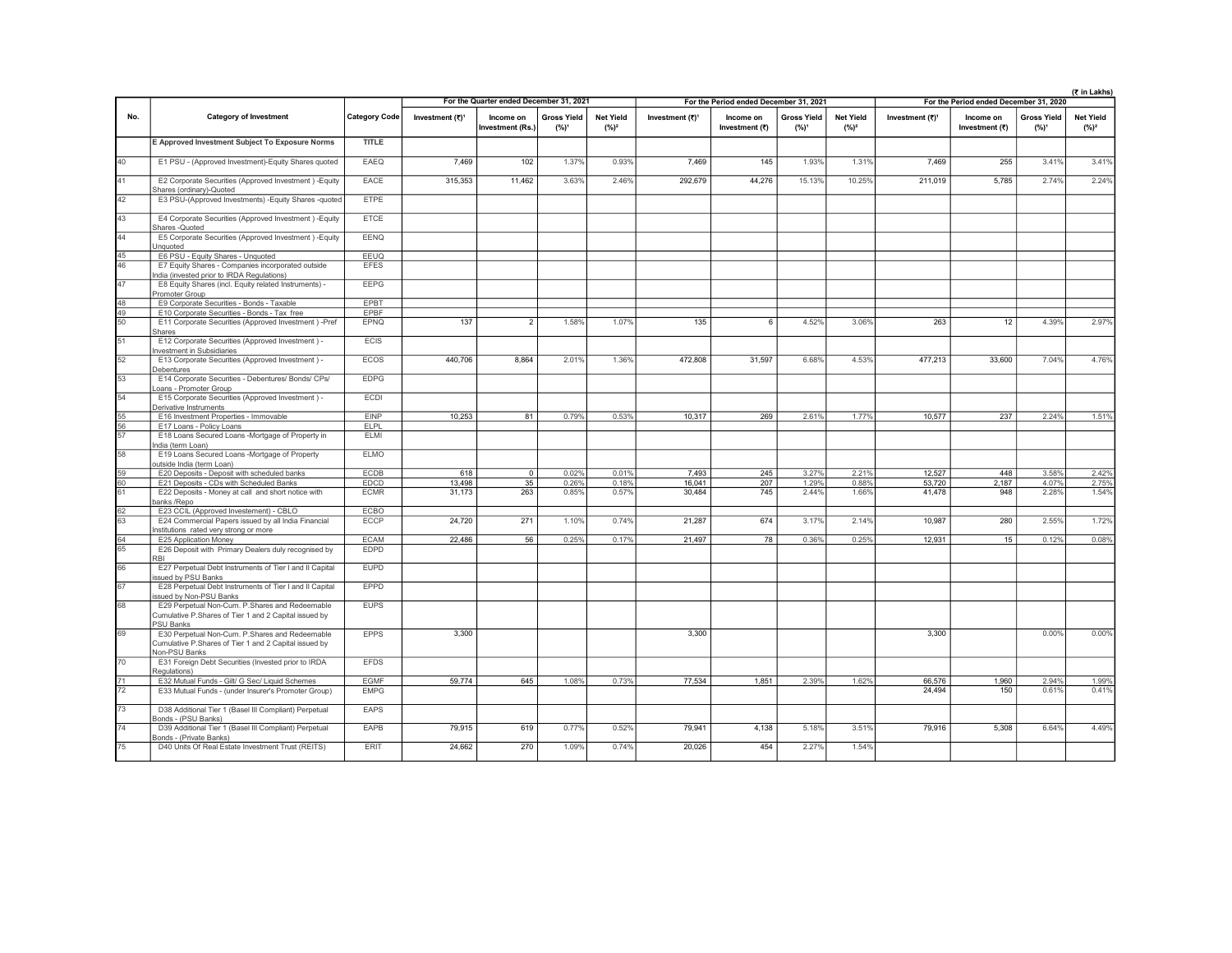|                                    |                                                                                                                             | For the Quarter ended December 31, 2021<br>For the Period ended December 31, 2021<br>For the Period ended December 31, 2020 |                             |                              |                               |                             |                             |                             |                                        | (₹ in Lakhs)                |                             |                             |                               |                              |
|------------------------------------|-----------------------------------------------------------------------------------------------------------------------------|-----------------------------------------------------------------------------------------------------------------------------|-----------------------------|------------------------------|-------------------------------|-----------------------------|-----------------------------|-----------------------------|----------------------------------------|-----------------------------|-----------------------------|-----------------------------|-------------------------------|------------------------------|
|                                    |                                                                                                                             |                                                                                                                             |                             |                              |                               |                             |                             |                             |                                        |                             |                             |                             |                               |                              |
| No.                                | <b>Category of Investment</b>                                                                                               | Category Code                                                                                                               | Investment (₹) <sup>1</sup> | Income on<br>Investment (Rs. | <b>Gross Yield</b><br>$(%)^1$ | <b>Net Yield</b><br>$(%)^2$ | Investment (₹) <sup>1</sup> | Income on<br>Investment (₹) | <b>Gross Yield</b><br>(%) <sup>1</sup> | <b>Net Yield</b><br>$(%)^2$ | Investment (₹) <sup>1</sup> | Income on<br>Investment (₹) | <b>Gross Yield</b><br>$(%)^1$ | <b>Net Yield</b><br>$(\%)^2$ |
|                                    | E Approved Investment Subject To Exposure Norms                                                                             | <b>TITLE</b>                                                                                                                |                             |                              |                               |                             |                             |                             |                                        |                             |                             |                             |                               |                              |
| 40                                 | E1 PSU - (Approved Investment)-Equity Shares quoted                                                                         | EAEQ                                                                                                                        | 7,469                       | 102                          | 1.37%                         | 0.93%                       | 7,469                       | 145                         | 1.93%                                  | 1.31%                       | 7,469                       | 255                         | 3.41%                         | 3.41%                        |
| 41                                 | E2 Corporate Securities (Approved Investment) - Equity<br>Shares (ordinary)-Quoted                                          | EACE                                                                                                                        | 315.353                     | 11.462                       | 3.63%                         | 2.46%                       | 292.679                     | 44.276                      | 15.13%                                 | 10.25%                      | 211.019                     | 5.785                       | 2.74%                         | 2.24%                        |
| 42                                 | E3 PSU-(Approved Investments) - Equity Shares - quoted                                                                      | <b>ETPE</b>                                                                                                                 |                             |                              |                               |                             |                             |                             |                                        |                             |                             |                             |                               |                              |
| 43                                 | E4 Corporate Securities (Approved Investment) - Equity<br>Shares -Quoted                                                    | <b>ETCE</b>                                                                                                                 |                             |                              |                               |                             |                             |                             |                                        |                             |                             |                             |                               |                              |
| $\overline{44}$                    | E5 Corporate Securities (Approved Investment) - Equity<br><b>Unquoted</b>                                                   | EENQ                                                                                                                        |                             |                              |                               |                             |                             |                             |                                        |                             |                             |                             |                               |                              |
| $\frac{45}{46}$                    | E6 PSU - Equity Shares - Unquoted                                                                                           | EEUQ                                                                                                                        |                             |                              |                               |                             |                             |                             |                                        |                             |                             |                             |                               |                              |
|                                    | E7 Equity Shares - Companies incorporated outside<br>India (invested prior to IRDA Regulations)                             | <b>EFES</b>                                                                                                                 |                             |                              |                               |                             |                             |                             |                                        |                             |                             |                             |                               |                              |
| 47                                 | E8 Equity Shares (incl. Equity related Instruments) -<br>Promoter Group                                                     | <b>EEPG</b>                                                                                                                 |                             |                              |                               |                             |                             |                             |                                        |                             |                             |                             |                               |                              |
|                                    | E9 Corporate Securities - Bonds - Taxable                                                                                   | EPBT                                                                                                                        |                             |                              |                               |                             |                             |                             |                                        |                             |                             |                             |                               |                              |
| $\frac{48}{49}$<br>$\frac{49}{50}$ | E10 Corporate Securities - Bonds - Tax free                                                                                 | EPBF                                                                                                                        |                             |                              |                               |                             |                             |                             |                                        |                             |                             |                             |                               |                              |
|                                    | E11 Corporate Securities (Approved Investment) -Pref<br>Shares                                                              | EPNQ                                                                                                                        | 137                         | $\overline{2}$               | 1.58%                         | 1.07%                       | 135                         | 6                           | 4.52%                                  | 3.06%                       | 263                         | 12                          | 4.39%                         | 2.97%                        |
| 51                                 | E12 Corporate Securities (Approved Investment) -<br>nvestment in Subsidiaries                                               | ECIS                                                                                                                        |                             |                              |                               |                             |                             |                             |                                        |                             |                             |                             |                               |                              |
| 52                                 | E13 Corporate Securities (Approved Investment) -<br>Debentures                                                              | <b>ECOS</b>                                                                                                                 | 440.706                     | 8.864                        | 2.01%                         | 1.36%                       | 472.808                     | 31.597                      | 6.68%                                  | 4.53%                       | 477.213                     | 33,600                      | 7.04%                         | 4.76%                        |
| 53                                 | E14 Corporate Securities - Debentures/ Bonds/ CPs/<br>Loans - Promoter Group                                                | <b>EDPG</b>                                                                                                                 |                             |                              |                               |                             |                             |                             |                                        |                             |                             |                             |                               |                              |
| $\overline{54}$                    | E15 Corporate Securities (Approved Investment) -<br>Derivative Instruments                                                  | ECDI                                                                                                                        |                             |                              |                               |                             |                             |                             |                                        |                             |                             |                             |                               |                              |
|                                    | E16 Investment Properties - Immovable                                                                                       | <b>EINP</b>                                                                                                                 | 10,253                      | 81                           | 0.79%                         | 0.53%                       | 10,317                      | 269                         | 2.61%                                  | 1.77%                       | 10,577                      | 237                         | 2.24%                         | 1.51%                        |
| $rac{55}{56}$<br>$rac{56}{57}$     | E17 Loans - Policy Loans                                                                                                    | <b>ELPL</b>                                                                                                                 |                             |                              |                               |                             |                             |                             |                                        |                             |                             |                             |                               |                              |
|                                    | E18 Loans Secured Loans -Mortgage of Property in<br>India (term Loan)                                                       | ELMI                                                                                                                        |                             |                              |                               |                             |                             |                             |                                        |                             |                             |                             |                               |                              |
| 58                                 | E19 Loans Secured Loans -Mortgage of Property<br>outside India (term Loan)                                                  | <b>ELMO</b>                                                                                                                 |                             |                              |                               |                             |                             |                             |                                        |                             |                             |                             |                               |                              |
| $\frac{59}{60}$                    | E20 Deposits - Deposit with scheduled banks                                                                                 | <b>ECDB</b>                                                                                                                 | 618                         | $\overline{0}$               | 0.02%                         | 0.01%                       | 7,493                       | 245                         | 3.27%                                  | 2.21%                       | 12,527                      | 448                         | 3.58%                         | 2.42%                        |
|                                    | E21 Deposits - CDs with Scheduled Banks                                                                                     | EDCD                                                                                                                        | 13,498                      | 35                           | 0.26%                         | 0.18%                       | 16,041                      | 207                         | 1.29%                                  | 0.88%                       | 53,720                      | 2,187                       | 4.07%                         | 2.75%                        |
|                                    | E22 Deposits - Money at call and short notice with<br>anks /Repo                                                            | <b>ECMR</b>                                                                                                                 | 31.173                      | 263                          | 0.85%                         | 0.57%                       | 30.484                      | 745                         | 2.44%                                  | 1.66%                       | 41.478                      | 948                         | 2.28%                         | 1.54%                        |
| $rac{62}{63}$                      | E23 CCIL (Approved Investement) - CBLO                                                                                      | <b>ECBO</b>                                                                                                                 |                             |                              |                               |                             |                             |                             |                                        |                             |                             |                             |                               |                              |
|                                    | E24 Commercial Papers issued by all India Financial<br>institutions rated very strong or more                               | ECCP                                                                                                                        | 24,720                      | 271                          | 1.10%                         | 0.74%                       | 21,287                      | 674                         | 3.17%                                  | 2.14%                       | 10,987                      | 280                         | 2.55%                         | 1.72%                        |
| $rac{64}{65}$                      | E25 Application Money                                                                                                       | <b>ECAM</b><br><b>EDPD</b>                                                                                                  | 22.486                      | 56                           | 0.25%                         | 0.17%                       | 21.497                      | 78                          | 0.36%                                  | 0.25%                       | 12.931                      | 15                          | 0.12%                         | 0.08%                        |
|                                    | E26 Deposit with Primary Dealers duly recognised by<br>RRI                                                                  |                                                                                                                             |                             |                              |                               |                             |                             |                             |                                        |                             |                             |                             |                               |                              |
| 66                                 | E27 Perpetual Debt Instruments of Tier I and II Capital<br>ssued by PSU Banks                                               | <b>EUPD</b>                                                                                                                 |                             |                              |                               |                             |                             |                             |                                        |                             |                             |                             |                               |                              |
| 67                                 | E28 Perpetual Debt Instruments of Tier I and II Capital<br>ssued by Non-PSU Banks                                           | EPPD                                                                                                                        |                             |                              |                               |                             |                             |                             |                                        |                             |                             |                             |                               |                              |
| 68                                 | E29 Perpetual Non-Cum. P.Shares and Redeemable<br>Cumulative P.Shares of Tier 1 and 2 Capital issued by<br><b>PSU Banks</b> | <b>FUPS</b>                                                                                                                 |                             |                              |                               |                             |                             |                             |                                        |                             |                             |                             |                               |                              |
| 69                                 | E30 Perpetual Non-Cum, P.Shares and Redeemable<br>Cumulative P.Shares of Tier 1 and 2 Capital issued by                     | <b>FPPS</b>                                                                                                                 | 3,300                       |                              |                               |                             | 3,300                       |                             |                                        |                             | 3.300                       |                             | 0.00%                         | 0.00%                        |
| 70                                 | Non-PSU Banks<br>E31 Foreign Debt Securities (Invested prior to IRDA                                                        | <b>EFDS</b>                                                                                                                 |                             |                              |                               |                             |                             |                             |                                        |                             |                             |                             |                               |                              |
|                                    | Regulations)                                                                                                                | <b>EGMF</b>                                                                                                                 | 59,774                      | 645                          | 1.08%                         |                             | 77.534                      | 1.851                       | 2.39%                                  |                             |                             |                             |                               |                              |
| $\frac{71}{72}$                    | E32 Mutual Funds - Gilt/ G Sec/ Liquid Schemes<br>E33 Mutual Funds - (under Insurer's Promoter Group)                       | <b>EMPG</b>                                                                                                                 |                             |                              |                               | 0.73%                       |                             |                             |                                        | 1.62%                       | 66.576<br>24,494            | 1.960<br>150                | 2.94%<br>0.61%                | 1.99%<br>0.41%               |
| 73                                 | D38 Additional Tier 1 (Basel III Compliant) Perpetual                                                                       | EAPS                                                                                                                        |                             |                              |                               |                             |                             |                             |                                        |                             |                             |                             |                               |                              |
| 74                                 | Bonds - (PSU Banks)                                                                                                         |                                                                                                                             |                             |                              |                               |                             |                             |                             |                                        |                             |                             |                             |                               |                              |
|                                    | D39 Additional Tier 1 (Basel III Compliant) Perpetual<br>Bonds - (Private Banks)                                            | EAPB                                                                                                                        | 79,915                      | 619                          | 0.77%                         | 0.52%                       | 79,941                      | 4,138                       | 5.18%                                  | 3.51%                       | 79,916                      | 5.308                       | 6.64%                         | 4.49%                        |
| $\overline{75}$                    | D40 Units Of Real Estate Investment Trust (REITS)                                                                           | <b>ERIT</b>                                                                                                                 | 24.662                      | 270                          | 1.09%                         | 0.74%                       | 20.026                      | 454                         | 2.27%                                  | 1.54%                       |                             |                             |                               |                              |